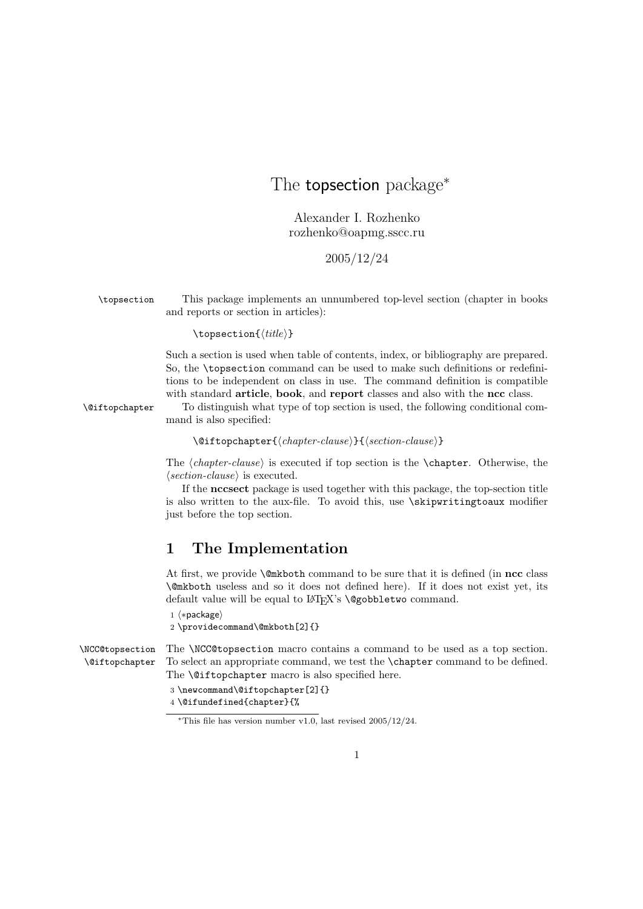## The **topsection** package<sup>\*</sup>

Alexander I. Rozhenko rozhenko@oapmg.sscc.ru

## 2005/12/24

\topsection This package implements an unnumbered top-level section (chapter in books and reports or section in articles):

## $\to$

Such a section is used when table of contents, index, or bibliography are prepared. So, the \topsection command can be used to make such definitions or redefinitions to be independent on class in use. The command definition is compatible with standard **article**, **book**, and **report** classes and also with the ncc class.

\@iftopchapter To distinguish what type of top section is used, the following conditional command is also specified:

 $\setminus$ @iftopchapter{ $\langle chapter-clause \rangle$ }{ $\langle section-clause \rangle$ }

The  $\{chapter-clause\}$  is executed if top section is the  $\text{Chapter. Otherwise, the}$  $\langle section-clause \rangle$  is executed.

If the nccsect package is used together with this package, the top-section title is also written to the aux-file. To avoid this, use \skipwritingtoaux modifier just before the top section.

## 1 The Implementation

At first, we provide **\@mkboth** command to be sure that it is defined (in ncc class \@mkboth useless and so it does not defined here). If it does not exist yet, its default value will be equal to LATEX's **\@gobbletwo** command.

1 (\*package)

```
2 \providecommand\@mkboth[2]{}
```
\NCC@topsection \@iftopchapter The \NCC@topsection macro contains a command to be used as a top section. To select an appropriate command, we test the \chapter command to be defined. The **\@iftopchapter** macro is also specified here.

3 \newcommand\@iftopchapter[2]{}

4 \@ifundefined{chapter}{%

<sup>∗</sup>This file has version number v1.0, last revised 2005/12/24.